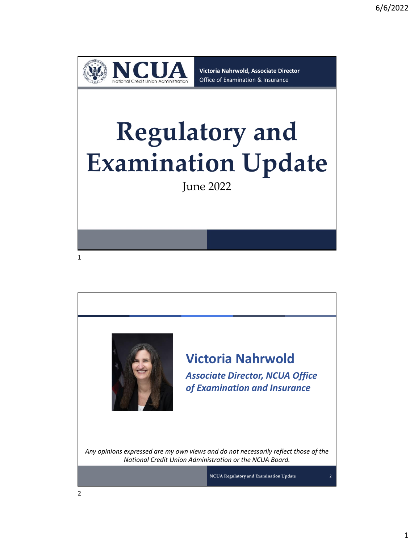

**Victoria Nahrwold, Associate Director** Office of Examination & Insurance

## **Regulatory and Examination Update**

June 2022



**Victoria Nahrwold** *Associate Director, NCUA Office of Examination and Insurance*

*Any opinions expressed are my own views and do not necessarily reflect those of the National Credit Union Administration or the NCUA Board.*

**NCUA Regulatory and Examination Update**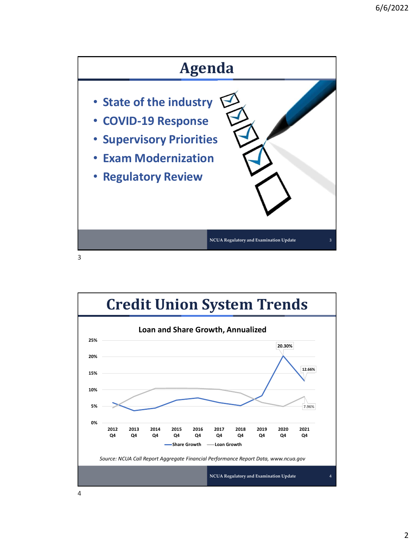

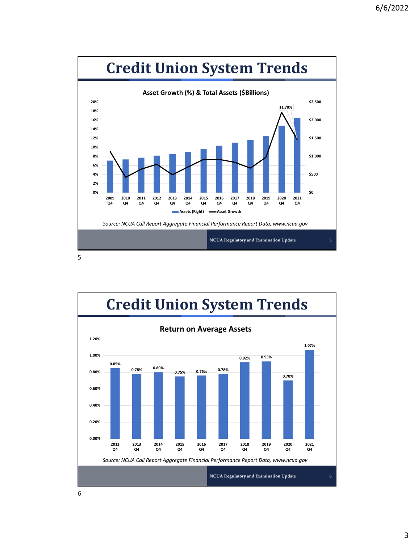

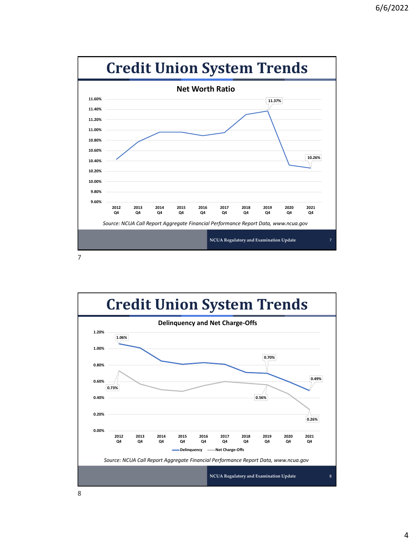

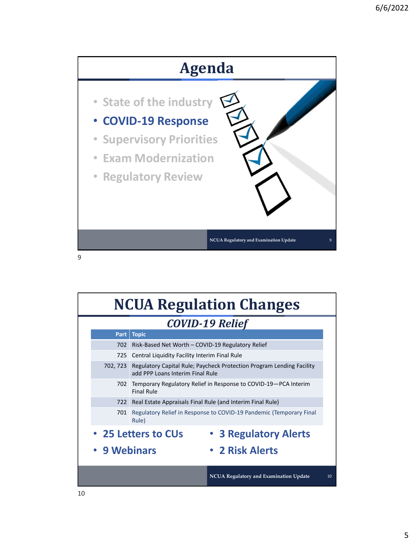

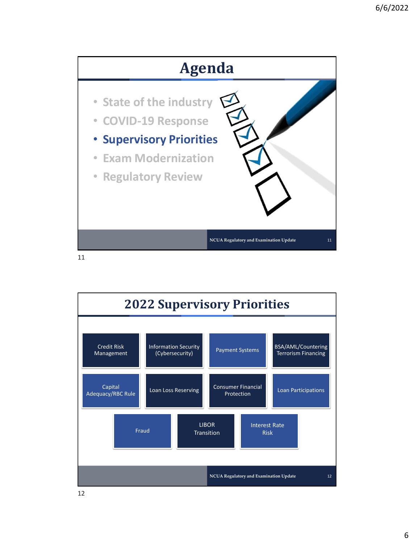

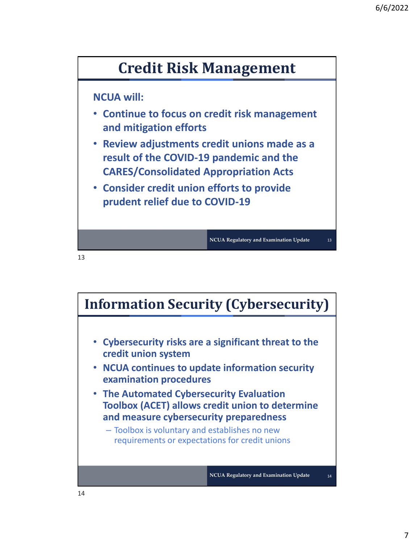

## **NCUA will:**

- **Continue to focus on credit risk management and mitigation efforts**
- **Review adjustments credit unions made as a result of the COVID-19 pandemic and the CARES/Consolidated Appropriation Acts**
- **Consider credit union efforts to provide prudent relief due to COVID-19**

**NCUA Regulatory and Examination Update** 13

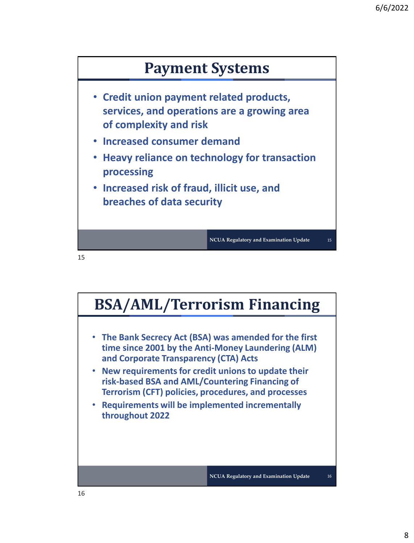

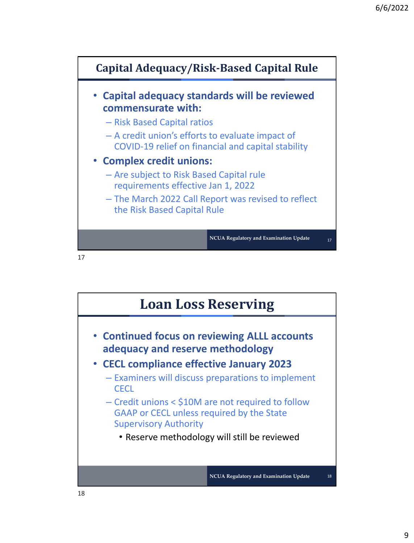

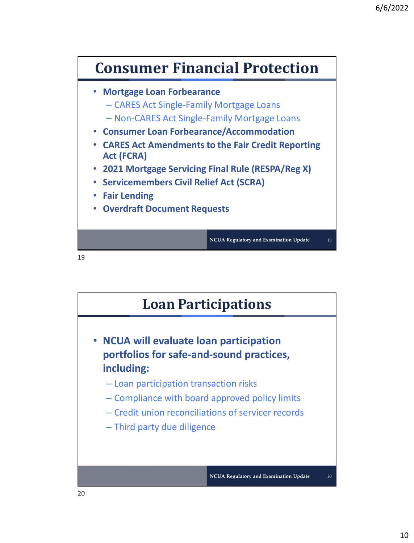

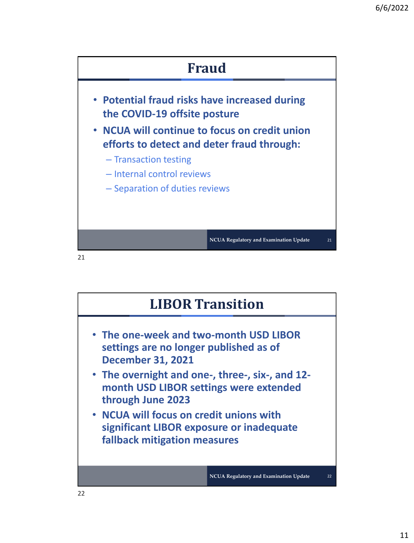

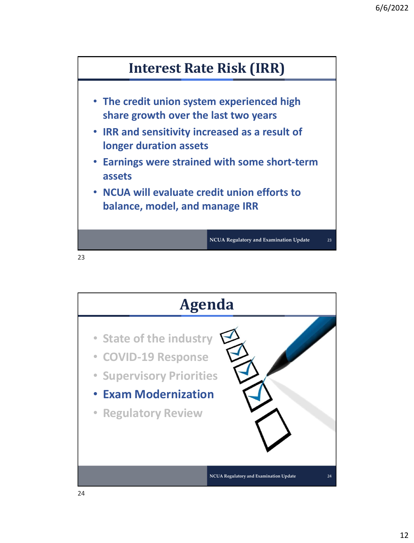

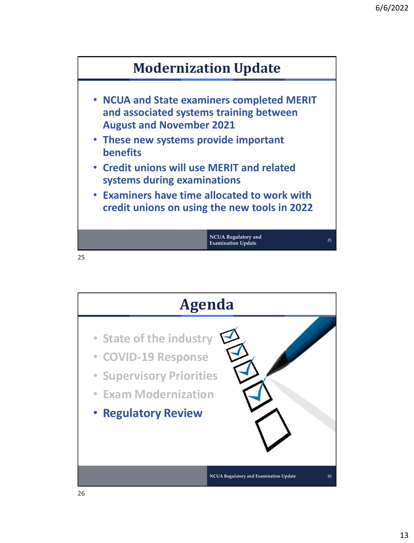

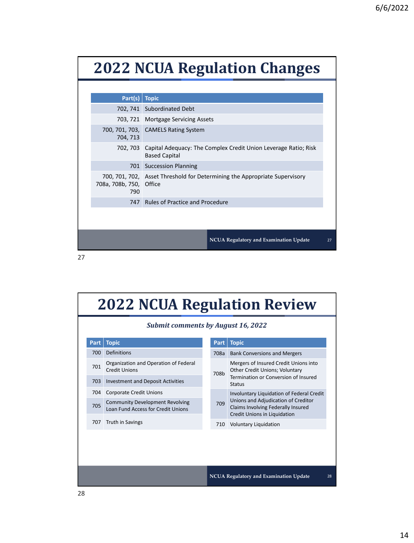## **2022 NCUA Regulation Changes**

| 702, 741 Subordinated Debt<br>703, 721 Mortgage Servicing Assets<br>700, 701, 703, CAMELS Rating System<br>704, 713<br>702, 703 Capital Adequacy: The Complex Credit Union Leverage Ratio; Risk<br><b>Based Capital</b><br>701 Succession Planning<br>700, 701, 702, Asset Threshold for Determining the Appropriate Supervisory<br>708a, 708b, 750, Office<br>790 | $Part(s)$ Topic |                                     |  |  |  |
|--------------------------------------------------------------------------------------------------------------------------------------------------------------------------------------------------------------------------------------------------------------------------------------------------------------------------------------------------------------------|-----------------|-------------------------------------|--|--|--|
|                                                                                                                                                                                                                                                                                                                                                                    |                 |                                     |  |  |  |
|                                                                                                                                                                                                                                                                                                                                                                    |                 |                                     |  |  |  |
|                                                                                                                                                                                                                                                                                                                                                                    |                 |                                     |  |  |  |
|                                                                                                                                                                                                                                                                                                                                                                    |                 |                                     |  |  |  |
|                                                                                                                                                                                                                                                                                                                                                                    |                 |                                     |  |  |  |
|                                                                                                                                                                                                                                                                                                                                                                    |                 |                                     |  |  |  |
|                                                                                                                                                                                                                                                                                                                                                                    |                 | 747 Rules of Practice and Procedure |  |  |  |

27

## **2022 NCUA Regulation Review**

**NCUA Regulatory and Examination Update** 27

| <b>Submit comments by August 16, 2022</b> |                                                                              |      |                                                                                                                                                        |  |  |
|-------------------------------------------|------------------------------------------------------------------------------|------|--------------------------------------------------------------------------------------------------------------------------------------------------------|--|--|
| Part                                      | <b>Topic</b>                                                                 | Part | <b>Topic</b>                                                                                                                                           |  |  |
| 700                                       | Definitions                                                                  | 708a | <b>Bank Conversions and Mergers</b>                                                                                                                    |  |  |
| 701                                       | Organization and Operation of Federal<br><b>Credit Unions</b>                | 708b | Mergers of Insured Credit Unions into<br>Other Credit Unions; Voluntary<br>Termination or Conversion of Insured<br><b>Status</b>                       |  |  |
| 703                                       | <b>Investment and Deposit Activities</b>                                     |      |                                                                                                                                                        |  |  |
| 704                                       | Corporate Credit Unions                                                      |      | Involuntary Liquidation of Federal Credit<br>Unions and Adjudication of Creditor<br>Claims Involving Federally Insured<br>Credit Unions in Liquidation |  |  |
| 705                                       | <b>Community Development Revolving</b><br>Loan Fund Access for Credit Unions | 709  |                                                                                                                                                        |  |  |
| 707                                       | Truth in Savings                                                             | 710  | <b>Voluntary Liquidation</b>                                                                                                                           |  |  |
|                                           |                                                                              |      |                                                                                                                                                        |  |  |
|                                           | <b>NCUA Regulatory and Examination Update</b>                                |      |                                                                                                                                                        |  |  |